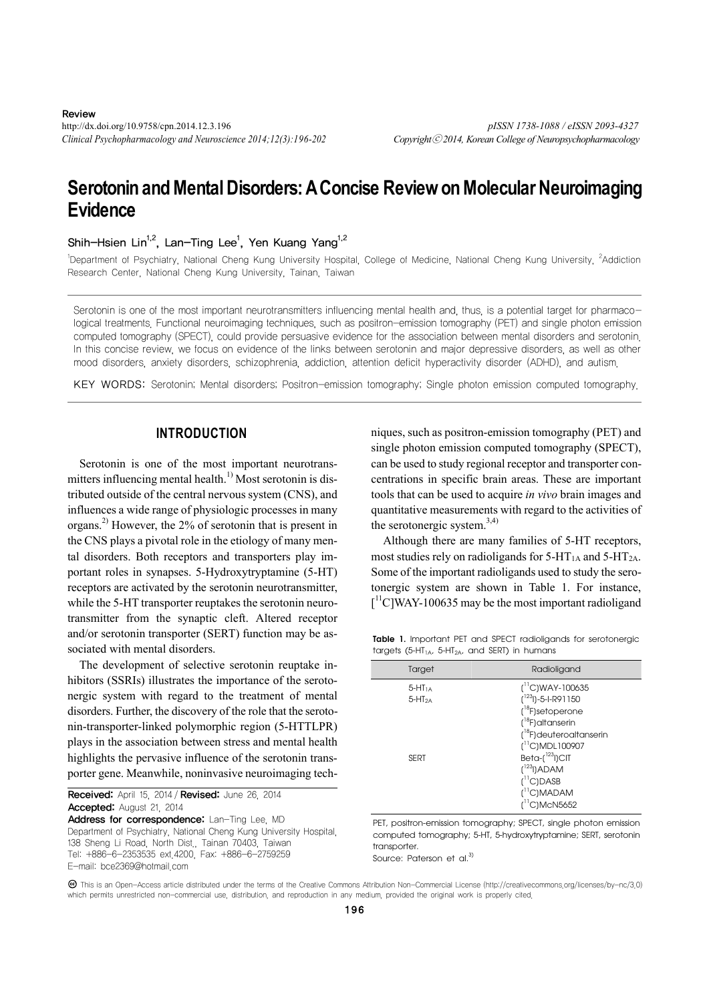http://dx.doi.org/10.9758/cpn.2014.12.3.196 *pISSN 1738-1088 / eISSN 2093-4327 Clinical Psychopharmacology and Neuroscience 2014;12(3):196-202 Copyright*ⓒ *2014, Korean College of Neuropsychopharmacology*

# **Serotonin and Mental Disorders: A Concise Review on Molecular Neuroimaging Evidence**

Shih-Hsien Lin<sup>1,2</sup>, Lan-Ting Lee<sup>1</sup>, Yen Kuang Yang<sup>1,2</sup>

<sup>1</sup>Department of Psychiatry, National Cheng Kung University Hospital, College of Medicine, National Cheng Kung University, <sup>2</sup>Addiction Research Center, National Cheng Kung University, Tainan, Taiwan

Serotonin is one of the most important neurotransmitters influencing mental health and, thus, is a potential target for pharmacological treatments. Functional neuroimaging techniques, such as positron-emission tomography (PET) and single photon emission computed tomography (SPECT), could provide persuasive evidence for the association between mental disorders and serotonin. In this concise review, we focus on evidence of the links between serotonin and major depressive disorders, as well as other mood disorders, anxiety disorders, schizophrenia, addiction, attention deficit hyperactivity disorder (ADHD), and autism.

KEY WORDS: Serotonin; Mental disorders; Positron-emission tomography; Single photon emission computed tomography.

# **INTRODUCTION**

Serotonin is one of the most important neurotransmitters influencing mental health.<sup>1)</sup> Most serotonin is distributed outside of the central nervous system (CNS), and influences a wide range of physiologic processes in many organs.2) However, the 2% of serotonin that is present in the CNS plays a pivotal role in the etiology of many mental disorders. Both receptors and transporters play important roles in synapses. 5-Hydroxytryptamine (5-HT) receptors are activated by the serotonin neurotransmitter, while the 5-HT transporter reuptakes the serotonin neurotransmitter from the synaptic cleft. Altered receptor and/or serotonin transporter (SERT) function may be associated with mental disorders.

The development of selective serotonin reuptake inhibitors (SSRIs) illustrates the importance of the serotonergic system with regard to the treatment of mental disorders. Further, the discovery of the role that the serotonin-transporter-linked polymorphic region (5-HTTLPR) plays in the association between stress and mental health highlights the pervasive influence of the serotonin transporter gene. Meanwhile, noninvasive neuroimaging tech-

 Received: April 15, 2014 / Revised: June 26, 2014 Accepted: August 21, 2014

Address for correspondence: Lan-Ting Lee, MD Department of Psychiatry, National Cheng Kung University Hospital, 138 Sheng Li Road, North Dist., Tainan 70403, Taiwan Tel: +886-6-2353535 ext.4200, Fax: +886-6-2759259 E-mail: bce2369@hotmail.com

niques, such as positron-emission tomography (PET) and single photon emission computed tomography (SPECT), can be used to study regional receptor and transporter concentrations in specific brain areas. These are important tools that can be used to acquire *in vivo* brain images and quantitative measurements with regard to the activities of the serotonergic system. $3,4$ )

Although there are many families of 5-HT receptors, most studies rely on radioligands for  $5-HT_{1A}$  and  $5-HT_{2A}$ . Some of the important radioligands used to study the serotonergic system are shown in Table 1. For instance, [<sup>11</sup>C]WAY-100635 may be the most important radioligand

**Table 1.** Important PET and SPECT radioligands for serotonergic targets (5-HT<sub>1A</sub>, 5-HT<sub>2A</sub>, and SERT) in humans

| Target      | Radioligand                          |
|-------------|--------------------------------------|
| $5-HT1A$    | $(^{11}C)$ WAY-100635                |
| $5-HT2A$    | $(^{123}$ l)-5-I-R91150              |
|             | $(^{18}F)$ setoperone                |
|             | $(^{18}F)$ altanserin                |
|             | ( <sup>18</sup> F) deuteroaltanserin |
|             | $(^{11}C)$ MDL100907                 |
| <b>SERT</b> | Beta-(1231)CIT                       |
|             | $[123]$ )ADAM                        |
|             | $(^{11}C)DASB$                       |
|             | $(^{11}C)$ MADAM                     |
|             | $\text{f}^{\text{11}}$ C)McN5652     |

PET, positron-emission tomography; SPECT, single photon emission computed tomography; 5-HT, 5-hydroxytryptamine; SERT, serotonin transporter.

Source: Paterson et al.<sup>3)</sup>

This is an Open-Access article distributed under the terms of the Creative Commons Attribution Non-Commercial License (http://creativecommons.org/licenses/by-nc/3.0) which permits unrestricted non-commercial use, distribution, and reproduction in any medium, provided the original work is properly cited.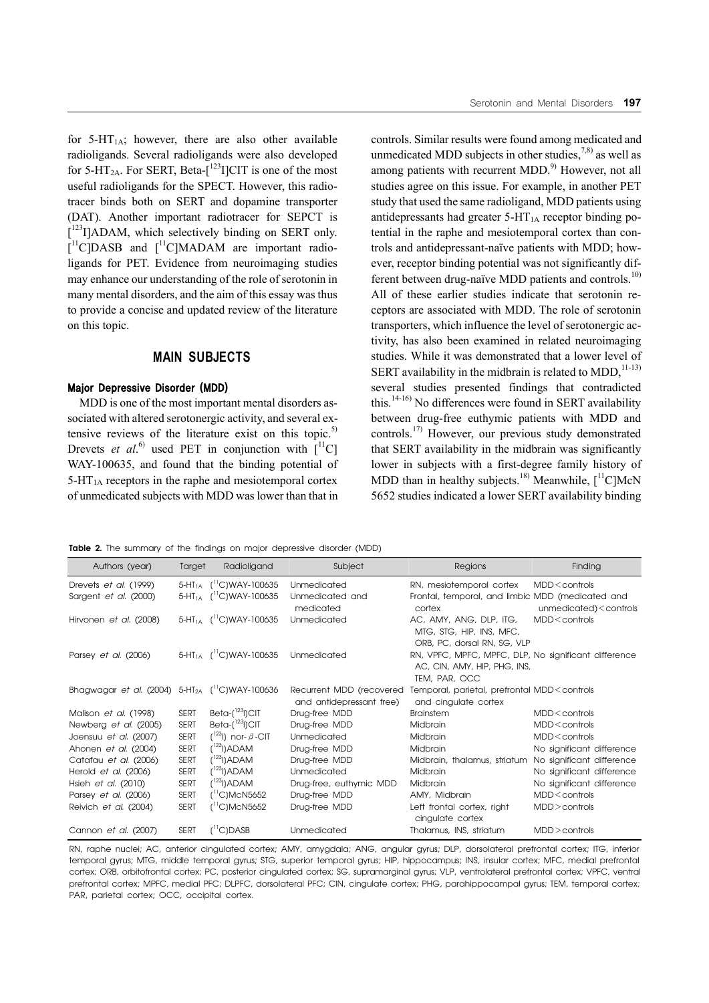for  $5-\text{HT}_{1\text{A}}$ ; however, there are also other available radioligands. Several radioligands were also developed for 5-HT<sub>2A</sub>. For SERT, Beta- $\int$ <sup>123</sup>I]CIT is one of the most useful radioligands for the SPECT. However, this radiotracer binds both on SERT and dopamine transporter (DAT). Another important radiotracer for SEPCT is [<sup>123</sup>I]ADAM, which selectively binding on SERT only.  $[$ <sup>11</sup>C]DASB and  $[$ <sup>11</sup>C]MADAM are important radioligands for PET. Evidence from neuroimaging studies may enhance our understanding of the role of serotonin in many mental disorders, and the aim of this essay was thus to provide a concise and updated review of the literature on this topic.

# **MAIN SUBJECTS**

#### Major Depressive Disorder (MDD)

MDD is one of the most important mental disorders associated with altered serotonergic activity, and several extensive reviews of the literature exist on this topic.<sup>5)</sup> Drevets *et al.*<sup>6)</sup> used PET in conjunction with  $\left[$ <sup>11</sup>C] WAY-100635, and found that the binding potential of  $5-\text{HT}_{1\text{A}}$  receptors in the raphe and mesiotemporal cortex of unmedicated subjects with MDD was lower than that in controls. Similar results were found among medicated and unmedicated MDD subjects in other studies,  $7,8$  as well as among patients with recurrent MDD. $9)$  However, not all studies agree on this issue. For example, in another PET study that used the same radioligand, MDD patients using antidepressants had greater  $5-HT<sub>1A</sub>$  receptor binding potential in the raphe and mesiotemporal cortex than controls and antidepressant-naïve patients with MDD; however, receptor binding potential was not significantly different between drug-naïve MDD patients and controls. $^{10}$ All of these earlier studies indicate that serotonin receptors are associated with MDD. The role of serotonin transporters, which influence the level of serotonergic activity, has also been examined in related neuroimaging studies. While it was demonstrated that a lower level of SERT availability in the midbrain is related to MDD, $^{11-13)}$ several studies presented findings that contradicted this. $14-16$  No differences were found in SERT availability between drug-free euthymic patients with MDD and controls.17) However, our previous study demonstrated that SERT availability in the midbrain was significantly lower in subjects with a first-degree family history of MDD than in healthy subjects.<sup>18)</sup> Meanwhile,  $[$ <sup>11</sup>C]McN 5652 studies indicated a lower SERT availability binding

**Table 2.** The summary of the findings on major depressive disorder (MDD)

| <b>NOULD E.</b> The sammary of the imaings on major approvince also don (MDD) |             |                                                                                                         |                                                      |                                                                                     |                                            |  |  |
|-------------------------------------------------------------------------------|-------------|---------------------------------------------------------------------------------------------------------|------------------------------------------------------|-------------------------------------------------------------------------------------|--------------------------------------------|--|--|
| Authors (year)                                                                | Target      | Radioligand                                                                                             | Subject                                              | <b>Regions</b>                                                                      | Finding                                    |  |  |
| Drevets et al. (1999)<br>Sargent et al. (2000)                                |             | 5-HT <sub>1A</sub> ( <sup>11</sup> C)WAY-100635<br>5-HT <sub>1A</sub> $\int$ <sup>11</sup> C)WAY-100635 | Unmedicated<br>Unmedicated and                       | RN, mesiotemporal cortex<br>Frontal, temporal, and limbic MDD (medicated and        | $MDD <$ controls                           |  |  |
|                                                                               |             |                                                                                                         | medicated                                            | cortex                                                                              | unmedicated) <controls< td=""></controls<> |  |  |
| Hirvonen et al. (2008)                                                        |             | $5-HT_{1A}$ $(^{11}C)WAY-100635$                                                                        | Unmedicated                                          | AC, AMY, ANG, DLP, ITG,<br>MTG, STG, HIP, INS, MFC,                                 | $MDD <$ controls                           |  |  |
| Parsey <i>et al.</i> (2006)                                                   |             | 5-HT <sub>1A</sub> ( <sup>11</sup> C)WAY-100635 Unmedicated                                             |                                                      | ORB, PC, dorsal RN, SG, VLP<br>RN, VPFC, MPFC, MPFC, DLP, No significant difference |                                            |  |  |
|                                                                               |             |                                                                                                         |                                                      | AC, CIN, AMY, HIP, PHG, INS,<br>TEM, PAR, OCC                                       |                                            |  |  |
| Bhagwagar et al. (2004) 5-HT <sub>2A</sub> ( <sup>11</sup> C)WAY-100636       |             |                                                                                                         | Recurrent MDD (recovered<br>and antidepressant free) | Temporal, parietal, prefrontal MDD <controls<br>and cingulate cortex</controls<br>  |                                            |  |  |
| Malison et al. (1998)                                                         | <b>SERT</b> | Beta- $(^{123}$ l)CIT                                                                                   | Drug-free MDD                                        | <b>Brainstem</b>                                                                    | $MDD <$ controls                           |  |  |
| Newberg et al. (2005)                                                         | <b>SERT</b> | Beta- $\binom{123}{1}$ CIT                                                                              | Drug-free MDD                                        | Midbrain                                                                            | $MDD <$ controls                           |  |  |
| Joensuu et al. (2007)                                                         | <b>SERT</b> | $\left( \begin{smallmatrix} 123 \ 13 \end{smallmatrix} \right)$ nor- $\beta$ -CIT                       | Unmedicated                                          | Midbrain                                                                            | $MDD <$ controls                           |  |  |
| Ahonen et al. (2004)                                                          | <b>SERT</b> | $(^{123}$ l) $ADAM$                                                                                     | Drug-free MDD                                        | Midbrain                                                                            | No significant difference                  |  |  |
| Catafau et al. (2006)                                                         | <b>SERT</b> | $(^{123}$ l) $ADAM$                                                                                     | Drug-free MDD                                        | Midbrain, thalamus, striatum                                                        | No significant difference                  |  |  |
| Herold et al. (2006)                                                          | <b>SERT</b> | ( <sup>123</sup> l)ADAM                                                                                 | Unmedicated                                          | <b>Midbrain</b>                                                                     | No significant difference                  |  |  |
| Hsieh et al. (2010)                                                           | <b>SERT</b> | $(^{123}$ l)ADAM                                                                                        | Drug-free, euthymic MDD                              | Midbrain                                                                            | No significant difference                  |  |  |
| Parsey et al. (2006)                                                          | <b>SERT</b> | $(^{11}C)$ McN5652                                                                                      | Drug-free MDD                                        | AMY, Midbrain                                                                       | $MDD <$ controls                           |  |  |
| Reivich et al. (2004)                                                         | <b>SERT</b> | $(^{11}C)$ McN5652                                                                                      | Drug-free MDD                                        | Left frontal cortex, right<br>cingulate cortex                                      | $MDD >$ controls                           |  |  |
| Cannon et al. (2007)                                                          | <b>SERT</b> | $\int$ <sup>[1</sup> C]DASB                                                                             | Unmedicated                                          | Thalamus, INS, striatum                                                             | $MDD >$ controls                           |  |  |

RN, raphe nuclei; AC, anterior cingulated cortex; AMY, amygdala; ANG, angular gyrus; DLP, dorsolateral prefrontal cortex; ITG, inferior temporal gyrus; MTG, middle temporal gyrus; STG, superior temporal gyrus; HIP, hippocampus; INS, insular cortex; MFC, medial prefrontal cortex; ORB, orbitofrontal cortex; PC, posterior cingulated cortex; SG, supramarginal gyrus; VLP, ventrolateral prefrontal cortex; VPFC, ventral prefrontal cortex; MPFC, medial PFC; DLPFC, dorsolateral PFC; CIN, cingulate cortex; PHG, parahippocampal gyrus; TEM, temporal cortex; PAR, parietal cortex; OCC, occipital cortex.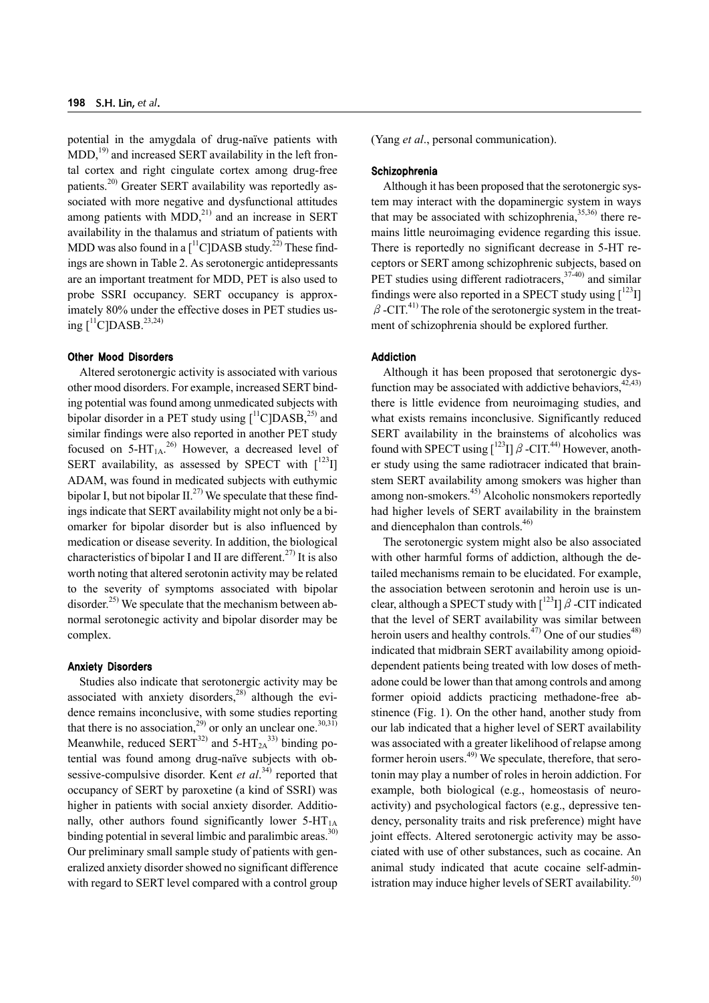potential in the amygdala of drug-naïve patients with  $MDD<sub>19</sub>$  and increased SERT availability in the left frontal cortex and right cingulate cortex among drug-free patients.<sup>20)</sup> Greater SERT availability was reportedly associated with more negative and dysfunctional attitudes among patients with  $MDD<sup>21</sup>$  and an increase in SERT availability in the thalamus and striatum of patients with MDD was also found in a  $\left[\right]^{11}$ C]DASB study.<sup>22</sup> These findings are shown in Table 2. As serotonergic antidepressants are an important treatment for MDD, PET is also used to probe SSRI occupancy. SERT occupancy is approximately 80% under the effective doses in PET studies using  $[^{11}C]DASB.^{23,24)}$ 

## Other Mood Disorders

Altered serotonergic activity is associated with various other mood disorders. For example, increased SERT binding potential was found among unmedicated subjects with bipolar disorder in a PET study using  $\int_1^{11} C|DASB|^{25}$  and similar findings were also reported in another PET study focused on  $5-HT_{1A}^{26}$  However, a decreased level of SERT availability, as assessed by SPECT with  $\lceil 1^{23} \rceil$ ADAM, was found in medicated subjects with euthymic bipolar I, but not bipolar  $II^{27)}$ . We speculate that these findings indicate that SERT availability might not only be a biomarker for bipolar disorder but is also influenced by medication or disease severity. In addition, the biological characteristics of bipolar I and II are different.<sup>27)</sup> It is also worth noting that altered serotonin activity may be related to the severity of symptoms associated with bipolar disorder.<sup>25)</sup> We speculate that the mechanism between abnormal serotonegic activity and bipolar disorder may be complex.

#### Anxiety Disorders

Studies also indicate that serotonergic activity may be associated with anxiety disorders, $^{28)}$  although the evidence remains inconclusive, with some studies reporting that there is no association,<sup>29</sup> or only an unclear one.<sup>30,31)</sup> Meanwhile, reduced  $SERT^{32)}$  and  $5-HT_{2A}^{33}$  binding potential was found among drug-naïve subjects with obsessive-compulsive disorder. Kent *et al.*<sup>34)</sup> reported that occupancy of SERT by paroxetine (a kind of SSRI) was higher in patients with social anxiety disorder. Additionally, other authors found significantly lower  $5-HT_{1A}$ binding potential in several limbic and paralimbic areas. $30$ Our preliminary small sample study of patients with generalized anxiety disorder showed no significant difference with regard to SERT level compared with a control group

(Yang *et al*., personal communication).

## **Schizophrenia**

Although it has been proposed that the serotonergic system may interact with the dopaminergic system in ways that may be associated with schizophrenia,  $35,36$ ) there remains little neuroimaging evidence regarding this issue. There is reportedly no significant decrease in 5-HT receptors or SERT among schizophrenic subjects, based on PET studies using different radiotracers,  $37-40$  and similar findings were also reported in a SPECT study using  $\left[1^{23}I\right]$  $\beta$ -CIT.<sup>41)</sup> The role of the serotonergic system in the treatment of schizophrenia should be explored further.

## Addiction

Although it has been proposed that serotonergic dysfunction may be associated with addictive behaviors,  $42,43$ ) there is little evidence from neuroimaging studies, and what exists remains inconclusive. Significantly reduced SERT availability in the brainstems of alcoholics was found with SPECT using  $\int^{123}$ I]  $\beta$  -CIT.<sup>44)</sup> However, another study using the same radiotracer indicated that brainstem SERT availability among smokers was higher than among non-smokers.<sup>45)</sup> Alcoholic nonsmokers reportedly had higher levels of SERT availability in the brainstem and diencephalon than controls.<sup>46)</sup>

The serotonergic system might also be also associated with other harmful forms of addiction, although the detailed mechanisms remain to be elucidated. For example, the association between serotonin and heroin use is unclear, although a SPECT study with  $\int^{123}$ I]  $\beta$  -CIT indicated that the level of SERT availability was similar between heroin users and healthy controls.<sup> $47)$ </sup> One of our studies<sup>48)</sup> indicated that midbrain SERT availability among opioiddependent patients being treated with low doses of methadone could be lower than that among controls and among former opioid addicts practicing methadone-free abstinence (Fig. 1). On the other hand, another study from our lab indicated that a higher level of SERT availability was associated with a greater likelihood of relapse among former heroin users. $49)$  We speculate, therefore, that serotonin may play a number of roles in heroin addiction. For example, both biological (e.g., homeostasis of neuroactivity) and psychological factors (e.g., depressive tendency, personality traits and risk preference) might have joint effects. Altered serotonergic activity may be associated with use of other substances, such as cocaine. An animal study indicated that acute cocaine self-administration may induce higher levels of SERT availability. $50$ )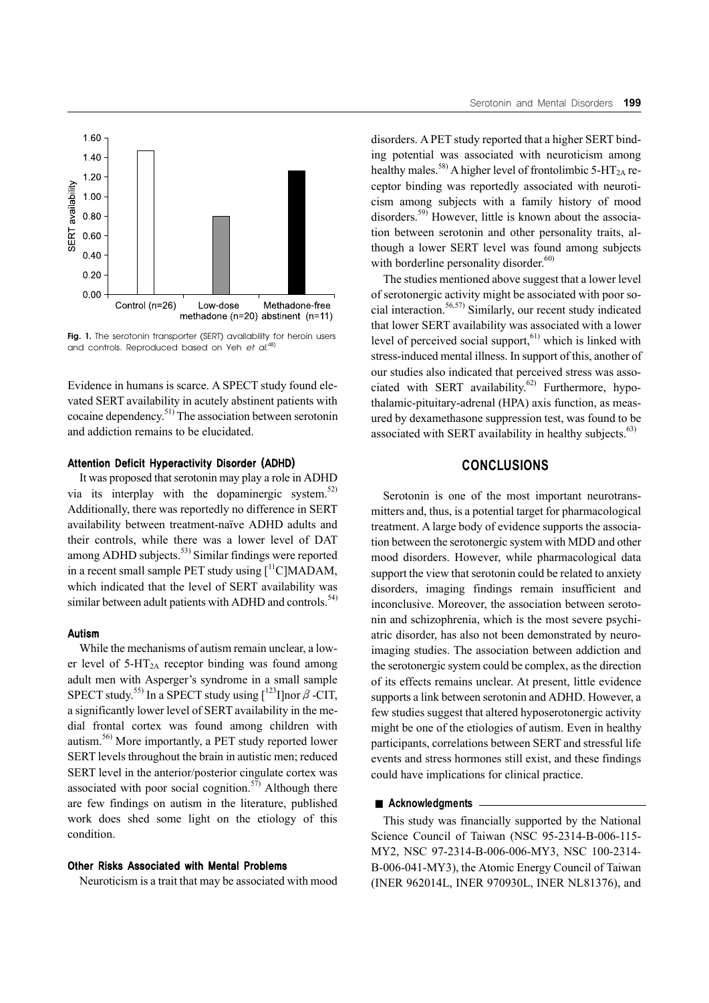

Fig. 1. The serotonin transporter (SERT) availability for heroin users and controls. Reproduced based on Yeh *et al*. 48)

Evidence in humans is scarce. A SPECT study found elevated SERT availability in acutely abstinent patients with cocaine dependency.51) The association between serotonin and addiction remains to be elucidated.

## Attention Deficit Hyperactivity Disorder (ADHD)

It was proposed that serotonin may play a role in ADHD via its interplay with the dopaminergic system.<sup>52)</sup> Additionally, there was reportedly no difference in SERT availability between treatment-naïve ADHD adults and their controls, while there was a lower level of DAT among ADHD subjects.<sup>53)</sup> Similar findings were reported in a recent small sample PET study using  $\int_1^{11}$ C]MADAM, which indicated that the level of SERT availability was similar between adult patients with ADHD and controls. $54$ )

## Autism

While the mechanisms of autism remain unclear, a lower level of  $5-\text{HT}_{2A}$  receptor binding was found among adult men with Asperger's syndrome in a small sample SPECT study.<sup>55)</sup> In a SPECT study using  $[^{123}I]$ nor  $\beta$ -CIT, a significantly lower level of SERT availability in the medial frontal cortex was found among children with autism.56) More importantly, a PET study reported lower SERT levels throughout the brain in autistic men; reduced SERT level in the anterior/posterior cingulate cortex was associated with poor social cognition. $57$ ) Although there are few findings on autism in the literature, published work does shed some light on the etiology of this condition.

#### Other Risks Associated with Mental Problems

Neuroticism is a trait that may be associated with mood

disorders. A PET study reported that a higher SERT binding potential was associated with neuroticism among healthy males.<sup>58)</sup> A higher level of frontolimbic 5-HT<sub>2A</sub> receptor binding was reportedly associated with neuroticism among subjects with a family history of mood disorders.59) However, little is known about the association between serotonin and other personality traits, although a lower SERT level was found among subjects with borderline personality disorder. $60$ )

The studies mentioned above suggest that a lower level of serotonergic activity might be associated with poor social interaction.<sup>56,57)</sup> Similarly, our recent study indicated that lower SERT availability was associated with a lower level of perceived social support,<sup>61)</sup> which is linked with stress-induced mental illness. In support of this, another of our studies also indicated that perceived stress was associated with SERT availability.<sup>62)</sup> Furthermore, hypothalamic-pituitary-adrenal (HPA) axis function, as measured by dexamethasone suppression test, was found to be associated with SERT availability in healthy subjects. $<sup>63</sup>$ )</sup>

# **CONCLUSIONS**

Serotonin is one of the most important neurotransmitters and, thus, is a potential target for pharmacological treatment. A large body of evidence supports the association between the serotonergic system with MDD and other mood disorders. However, while pharmacological data support the view that serotonin could be related to anxiety disorders, imaging findings remain insufficient and inconclusive. Moreover, the association between serotonin and schizophrenia, which is the most severe psychiatric disorder, has also not been demonstrated by neuroimaging studies. The association between addiction and the serotonergic system could be complex, as the direction of its effects remains unclear. At present, little evidence supports a link between serotonin and ADHD. However, a few studies suggest that altered hyposerotonergic activity might be one of the etiologies of autism. Even in healthy participants, correlations between SERT and stressful life events and stress hormones still exist, and these findings could have implications for clinical practice.

#### ■ **Acknowledgments**

This study was financially supported by the National Science Council of Taiwan (NSC 95-2314-B-006-115- MY2, NSC 97-2314-B-006-006-MY3, NSC 100-2314- B-006-041-MY3), the Atomic Energy Council of Taiwan (INER 962014L, INER 970930L, INER NL81376), and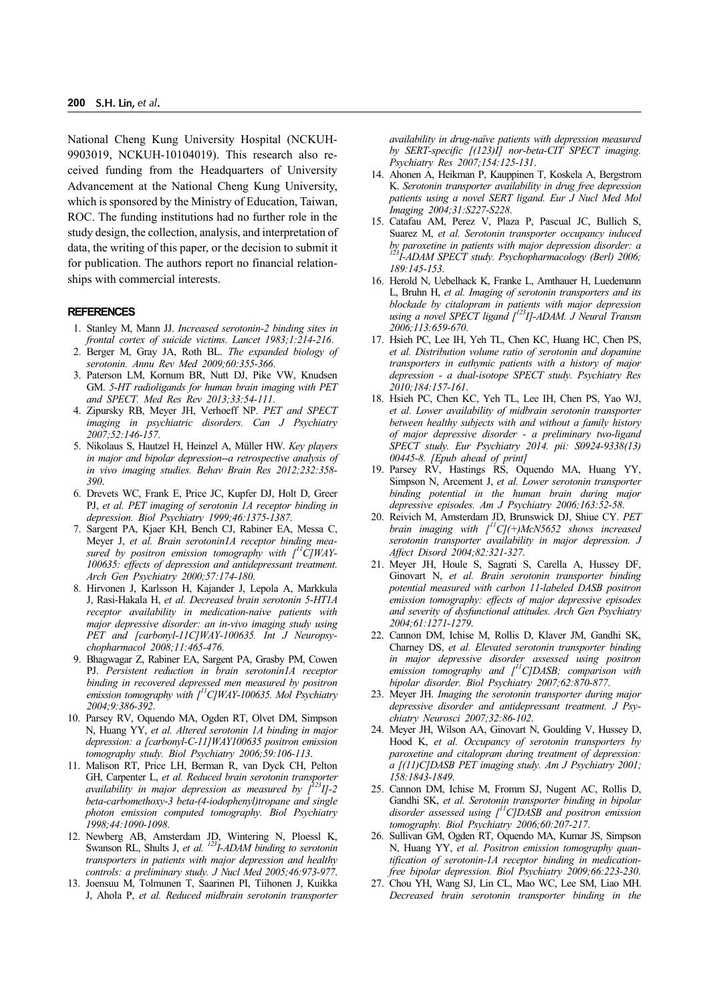National Cheng Kung University Hospital (NCKUH-9903019, NCKUH-10104019). This research also received funding from the Headquarters of University Advancement at the National Cheng Kung University, which is sponsored by the Ministry of Education, Taiwan, ROC. The funding institutions had no further role in the study design, the collection, analysis, and interpretation of data, the writing of this paper, or the decision to submit it for publication. The authors report no financial relationships with commercial interests.

#### **REFERENCES**

- 1. Stanley M, Mann JJ. *Increased serotonin-2 binding sites in frontal cortex of suicide victims. Lancet 1983;1:214-216*.
- 2. Berger M, Gray JA, Roth BL. *The expanded biology of serotonin. Annu Rev Med 2009;60:355-366*.
- 3. Paterson LM, Kornum BR, Nutt DJ, Pike VW, Knudsen GM. *5-HT radioligands for human brain imaging with PET and SPECT. Med Res Rev 2013;33:54-111*.
- 4. Zipursky RB, Meyer JH, Verhoeff NP. *PET and SPECT imaging in psychiatric disorders. Can J Psychiatry 2007;52:146-157*.
- 5. Nikolaus S, Hautzel H, Heinzel A, Müller HW. *Key players in major and bipolar depression--a retrospective analysis of in vivo imaging studies. Behav Brain Res 2012;232:358- 390*.
- 6. Drevets WC, Frank E, Price JC, Kupfer DJ, Holt D, Greer PJ, *et al. PET imaging of serotonin 1A receptor binding in depression. Biol Psychiatry 1999;46:1375-1387*.
- 7. Sargent PA, Kjaer KH, Bench CJ, Rabiner EA, Messa C, Meyer J, *et al. Brain serotonin1A receptor binding mea*sured by positron emission tomography with  $\int_1^1 C/WAY-$ *100635: effects of depression and antidepressant treatment. Arch Gen Psychiatry 2000;57:174-180*.
- 8. Hirvonen J, Karlsson H, Kajander J, Lepola A, Markkula J, Rasi-Hakala H, *et al. Decreased brain serotonin 5-HT1A receptor availability in medication-naive patients with major depressive disorder: an in-vivo imaging study using PET and [carbonyl-11C]WAY-100635. Int J Neuropsychopharmacol 2008;11:465-476*.
- 9. Bhagwagar Z, Rabiner EA, Sargent PA, Grasby PM, Cowen PJ. *Persistent reduction in brain serotonin1A receptor binding in recovered depressed men measured by positron emission tomography with [11C]WAY-100635. Mol Psychiatry 2004;9:386-392*.
- 10. Parsey RV, Oquendo MA, Ogden RT, Olvet DM, Simpson N, Huang YY, *et al. Altered serotonin 1A binding in major depression: a [carbonyl-C-11]WAY100635 positron emission tomography study. Biol Psychiatry 2006;59:106-113*.
- 11. Malison RT, Price LH, Berman R, van Dyck CH, Pelton GH, Carpenter L, *et al. Reduced brain serotonin transporter availability in major depression as measured by [123I]-2 beta-carbomethoxy-3 beta-(4-iodophenyl)tropane and single photon emission computed tomography. Biol Psychiatry 1998;44:1090-1098*.
- 12. Newberg AB, Amsterdam JD, Wintering N, Ploessl K, Swanson RL, Shults J, et al. <sup>123</sup>I-ADAM binding to serotonin *transporters in patients with major depression and healthy controls: a preliminary study. J Nucl Med 2005;46:973-977*.
- 13. Joensuu M, Tolmunen T, Saarinen PI, Tiihonen J, Kuikka J, Ahola P, *et al. Reduced midbrain serotonin transporter*

*availability in drug-naïve patients with depression measured by SERT-specific [(123)I] nor-beta-CIT SPECT imaging. Psychiatry Res 2007;154:125-131*.

- 14. Ahonen A, Heikman P, Kauppinen T, Koskela A, Bergstrom K. *Serotonin transporter availability in drug free depression patients using a novel SERT ligand. Eur J Nucl Med Mol Imaging 2004;31:S227-S228*.
- 15. Catafau AM, Perez V, Plaza P, Pascual JC, Bullich S, Suarez M, *et al. Serotonin transporter occupancy induced by paroxetine in patients with major depression disorder: a 123I-ADAM SPECT study. Psychopharmacology (Berl) 2006; 189:145-153*.
- 16. Herold N, Uebelhack K, Franke L, Amthauer H, Luedemann L, Bruhn H, *et al. Imaging of serotonin transporters and its blockade by citalopram in patients with major depression using a novel SPECT ligand [123I]-ADAM. J Neural Transm 2006;113:659-670*.
- 17. Hsieh PC, Lee IH, Yeh TL, Chen KC, Huang HC, Chen PS, *et al. Distribution volume ratio of serotonin and dopamine transporters in euthymic patients with a history of major depression - a dual-isotope SPECT study. Psychiatry Res 2010;184:157-161*.
- 18. Hsieh PC, Chen KC, Yeh TL, Lee IH, Chen PS, Yao WJ, *et al. Lower availability of midbrain serotonin transporter between healthy subjects with and without a family history of major depressive disorder - a preliminary two-ligand SPECT study. Eur Psychiatry 2014. pii: S0924-9338(13) 00445-8. [Epub ahead of print]*
- 19. Parsey RV, Hastings RS, Oquendo MA, Huang YY, Simpson N, Arcement J, *et al. Lower serotonin transporter binding potential in the human brain during major depressive episodes. Am J Psychiatry 2006;163:52-58*.
- 20. Reivich M, Amsterdam JD, Brunswick DJ, Shiue CY. *PET brain imaging with [11C](+)McN5652 shows increased serotonin transporter availability in major depression. J Affect Disord 2004;82:321-327*.
- 21. Meyer JH, Houle S, Sagrati S, Carella A, Hussey DF, Ginovart N, *et al. Brain serotonin transporter binding potential measured with carbon 11-labeled DASB positron emission tomography: effects of major depressive episodes and severity of dysfunctional attitudes. Arch Gen Psychiatry 2004;61:1271-1279*.
- 22. Cannon DM, Ichise M, Rollis D, Klaver JM, Gandhi SK, Charney DS, *et al. Elevated serotonin transporter binding in major depressive disorder assessed using positron emission tomography and [11C]DASB; comparison with bipolar disorder. Biol Psychiatry 2007;62:870-877*.
- 23. Meyer JH. *Imaging the serotonin transporter during major depressive disorder and antidepressant treatment. J Psychiatry Neurosci 2007;32:86-102*.
- 24. Meyer JH, Wilson AA, Ginovart N, Goulding V, Hussey D, Hood K, *et al. Occupancy of serotonin transporters by paroxetine and citalopram during treatment of depression: a [(11)C]DASB PET imaging study. Am J Psychiatry 2001; 158:1843-1849*.
- 25. Cannon DM, Ichise M, Fromm SJ, Nugent AC, Rollis D, Gandhi SK, *et al. Serotonin transporter binding in bipolar disorder assessed using [11C]DASB and positron emission tomography. Biol Psychiatry 2006;60:207-217*.
- 26. Sullivan GM, Ogden RT, Oquendo MA, Kumar JS, Simpson N, Huang YY, *et al. Positron emission tomography quantification of serotonin-1A receptor binding in medicationfree bipolar depression. Biol Psychiatry 2009;66:223-230*.
- 27. Chou YH, Wang SJ, Lin CL, Mao WC, Lee SM, Liao MH. *Decreased brain serotonin transporter binding in the*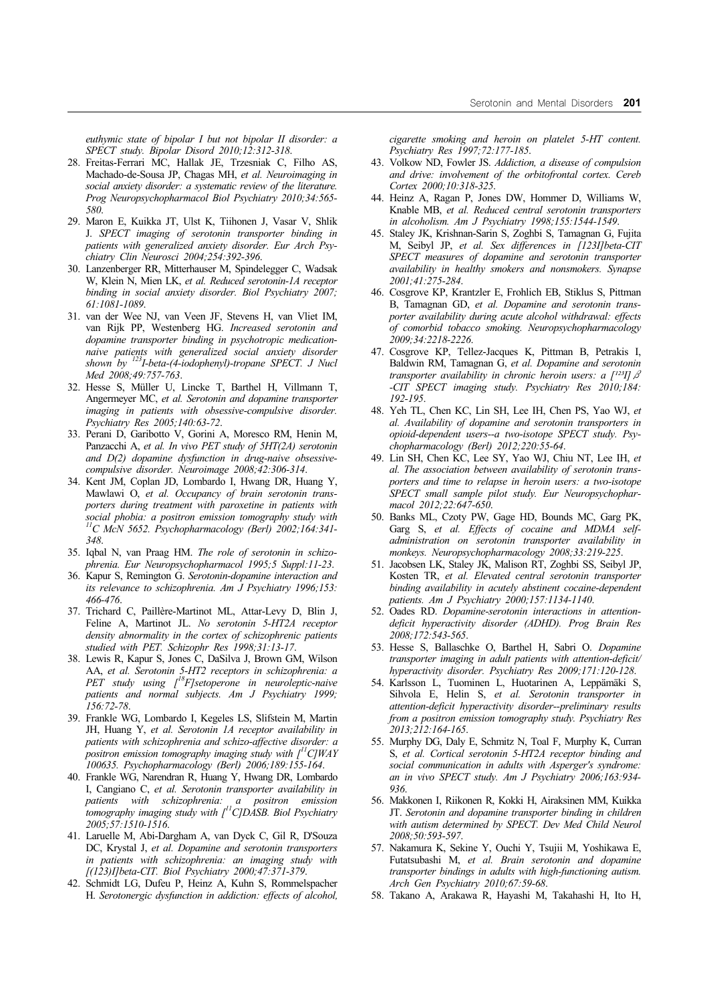*euthymic state of bipolar I but not bipolar II disorder: a SPECT study. Bipolar Disord 2010;12:312-318*.

- 28. Freitas-Ferrari MC, Hallak JE, Trzesniak C, Filho AS, Machado-de-Sousa JP, Chagas MH, *et al. Neuroimaging in social anxiety disorder: a systematic review of the literature. Prog Neuropsychopharmacol Biol Psychiatry 2010;34:565- 580*.
- 29. Maron E, Kuikka JT, Ulst K, Tiihonen J, Vasar V, Shlik J. *SPECT imaging of serotonin transporter binding in patients with generalized anxiety disorder. Eur Arch Psychiatry Clin Neurosci 2004;254:392-396*.
- 30. Lanzenberger RR, Mitterhauser M, Spindelegger C, Wadsak W, Klein N, Mien LK, *et al. Reduced serotonin-1A receptor binding in social anxiety disorder. Biol Psychiatry 2007; 61:1081-1089*.
- 31. van der Wee NJ, van Veen JF, Stevens H, van Vliet IM, van Rijk PP, Westenberg HG. *Increased serotonin and dopamine transporter binding in psychotropic medicationnaive patients with generalized social anxiety disorder shown by 123I-beta-(4-iodophenyl)-tropane SPECT. J Nucl Med 2008;49:757-763*.
- 32. Hesse S, Müller U, Lincke T, Barthel H, Villmann T, Angermeyer MC, *et al. Serotonin and dopamine transporter imaging in patients with obsessive-compulsive disorder. Psychiatry Res 2005;140:63-72*.
- 33. Perani D, Garibotto V, Gorini A, Moresco RM, Henin M, Panzacchi A, *et al. In vivo PET study of 5HT(2A) serotonin and D(2) dopamine dysfunction in drug-naive obsessivecompulsive disorder. Neuroimage 2008;42:306-314*.
- 34. Kent JM, Coplan JD, Lombardo I, Hwang DR, Huang Y, Mawlawi O, *et al. Occupancy of brain serotonin transporters during treatment with paroxetine in patients with social phobia: a positron emission tomography study with 11C McN 5652. Psychopharmacology (Berl) 2002;164:341- 348*.
- 35. Iqbal N, van Praag HM. *The role of serotonin in schizophrenia. Eur Neuropsychopharmacol 1995;5 Suppl:11-23*.
- 36. Kapur S, Remington G. *Serotonin-dopamine interaction and its relevance to schizophrenia. Am J Psychiatry 1996;153: 466-476*.
- 37. Trichard C, Paillère-Martinot ML, Attar-Levy D, Blin J, Feline A, Martinot JL. *No serotonin 5-HT2A receptor density abnormality in the cortex of schizophrenic patients studied with PET. Schizophr Res 1998;31:13-17*.
- 38. Lewis R, Kapur S, Jones C, DaSilva J, Brown GM, Wilson AA, *et al. Serotonin 5-HT2 receptors in schizophrenia: a PET study using [18F]setoperone in neuroleptic-naive patients and normal subjects. Am J Psychiatry 1999; 156:72-78*.
- 39. Frankle WG, Lombardo I, Kegeles LS, Slifstein M, Martin JH, Huang Y, *et al. Serotonin 1A receptor availability in patients with schizophrenia and schizo-affective disorder: a positron emission tomography imaging study with [11C]WAY 100635. Psychopharmacology (Berl) 2006;189:155-164*.
- 40. Frankle WG, Narendran R, Huang Y, Hwang DR, Lombardo I, Cangiano C, *et al. Serotonin transporter availability in patients with schizophrenia: a positron emission tomography imaging study with [11C]DASB. Biol Psychiatry 2005;57:1510-1516*.
- 41. Laruelle M, Abi-Dargham A, van Dyck C, Gil R, D'Souza DC, Krystal J, *et al. Dopamine and serotonin transporters in patients with schizophrenia: an imaging study with [(123)I]beta-CIT. Biol Psychiatry 2000;47:371-379*.
- 42. Schmidt LG, Dufeu P, Heinz A, Kuhn S, Rommelspacher H. *Serotonergic dysfunction in addiction: effects of alcohol,*

*cigarette smoking and heroin on platelet 5-HT content. Psychiatry Res 1997;72:177-185*.

- 43. Volkow ND, Fowler JS. *Addiction, a disease of compulsion and drive: involvement of the orbitofrontal cortex. Cereb Cortex 2000;10:318-325*.
- 44. Heinz A, Ragan P, Jones DW, Hommer D, Williams W, Knable MB, *et al. Reduced central serotonin transporters in alcoholism. Am J Psychiatry 1998;155:1544-1549*.
- 45. Staley JK, Krishnan-Sarin S, Zoghbi S, Tamagnan G, Fujita M, Seibyl JP, *et al. Sex differences in [123I]beta-CIT SPECT measures of dopamine and serotonin transporter availability in healthy smokers and nonsmokers. Synapse 2001;41:275-284*.
- 46. Cosgrove KP, Krantzler E, Frohlich EB, Stiklus S, Pittman B, Tamagnan GD, *et al. Dopamine and serotonin transporter availability during acute alcohol withdrawal: effects of comorbid tobacco smoking. Neuropsychopharmacology 2009;34:2218-2226*.
- 47. Cosgrove KP, Tellez-Jacques K, Pittman B, Petrakis I, Baldwin RM, Tamagnan G, *et al. Dopamine and serotonin transporter availability in chronic heroin users: a [<sup>123</sup>]]*  $\beta$ *-CIT SPECT imaging study. Psychiatry Res 2010;184: 192-195*.
- 48. Yeh TL, Chen KC, Lin SH, Lee IH, Chen PS, Yao WJ, *et al. Availability of dopamine and serotonin transporters in opioid-dependent users--a two-isotope SPECT study. Psychopharmacology (Berl) 2012;220:55-64*.
- 49. Lin SH, Chen KC, Lee SY, Yao WJ, Chiu NT, Lee IH, *et al. The association between availability of serotonin transporters and time to relapse in heroin users: a two-isotope SPECT small sample pilot study. Eur Neuropsychopharmacol 2012;22:647-650*.
- 50. Banks ML, Czoty PW, Gage HD, Bounds MC, Garg PK, Garg S, *et al. Effects of cocaine and MDMA selfadministration on serotonin transporter availability in monkeys. Neuropsychopharmacology 2008;33:219-225*.
- 51. Jacobsen LK, Staley JK, Malison RT, Zoghbi SS, Seibyl JP, Kosten TR, *et al. Elevated central serotonin transporter binding availability in acutely abstinent cocaine-dependent patients. Am J Psychiatry 2000;157:1134-1140*.
- 52. Oades RD. *Dopamine-serotonin interactions in attentiondeficit hyperactivity disorder (ADHD). Prog Brain Res 2008;172:543-565*.
- 53. Hesse S, Ballaschke O, Barthel H, Sabri O. *Dopamine transporter imaging in adult patients with attention-deficit/ hyperactivity disorder. Psychiatry Res 2009;171:120-128*.
- 54. Karlsson L, Tuominen L, Huotarinen A, Leppämäki S, Sihvola E, Helin S, *et al. Serotonin transporter in attention-deficit hyperactivity disorder--preliminary results from a positron emission tomography study. Psychiatry Res 2013;212:164-165*.
- 55. Murphy DG, Daly E, Schmitz N, Toal F, Murphy K, Curran S, *et al. Cortical serotonin 5-HT2A receptor binding and social communication in adults with Asperger's syndrome: an in vivo SPECT study. Am J Psychiatry 2006;163:934- 936*.
- 56. Makkonen I, Riikonen R, Kokki H, Airaksinen MM, Kuikka JT. *Serotonin and dopamine transporter binding in children with autism determined by SPECT. Dev Med Child Neurol 2008;50:593-597*.
- 57. Nakamura K, Sekine Y, Ouchi Y, Tsujii M, Yoshikawa E, Futatsubashi M, *et al. Brain serotonin and dopamine transporter bindings in adults with high-functioning autism. Arch Gen Psychiatry 2010;67:59-68*.
- 58. Takano A, Arakawa R, Hayashi M, Takahashi H, Ito H,